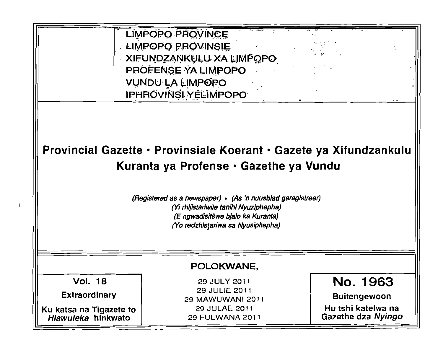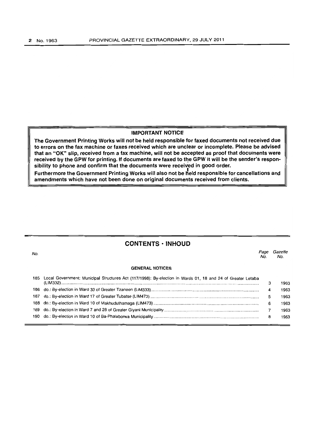# **IMPORTANT NOTICE**

**The Government Printing Works will not be held responsible for faxed documents not received due to errors on the fax machine or faxes received which are unclear or incomplete. Please be advised that an "OK" slip, received from a fax machine, will not be accepted as proof that documents were**  received by the GPW for printing. If documents are faxed to the GPW it will be the sender's respon**sibility to phone and confirm that the documents were received in good order.** 

Furthermore the Government Printing Works will also not be held responsible for cancellations and **amendments which have not been done on original documents received from clients.** 

# **CONTENTS' INHOUD**

no.<br>No. Page Gazette No. No.

#### **GENERAL NOTICES**

| 185 | Local Government: Municipal Structures Act (117/1998): By-election in Wards 01, 18 and 24 of Greater Letaba |   | 1963 |
|-----|-------------------------------------------------------------------------------------------------------------|---|------|
|     |                                                                                                             |   | 1963 |
|     |                                                                                                             |   | 1963 |
|     |                                                                                                             | 6 | 1963 |
|     |                                                                                                             |   |      |
|     |                                                                                                             |   | 1963 |
|     |                                                                                                             | 8 | 1963 |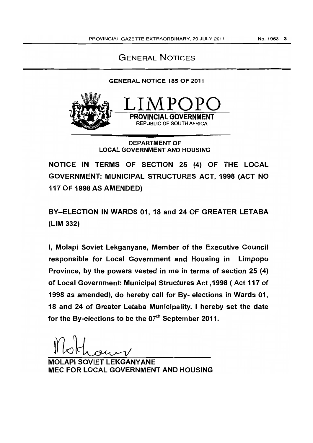# GENERAL NOTICES

# GENERAL NOTICE 185 OF 2011



DEPARTMENT OF LOCAL GOVERNMENT AND HOUSING

NOTICE IN TERMS OF SECTION 25 (4) OF THE LOCAL GOVERNMENT: MUNICIPAL STRUCTURES ACT, 1998 (ACT NO 117 OF 1998 AS AMENDED)

BY-ELECTION IN WARDS 01, 18 and 24 OF GREATER LETABA (LIM 332)

I, Molapi Soviet Lekganyane, Member of the Executive Council responsible for Local Government and Housing in Limpopo Province, by the powers vested in me in terms of section 25 (4) of Local Government: Municipal Structures Act ,1998 (Act 117 of 1998 as amended), do hereby call for By- elections in Wards 01, 18 and 24 of Greater Letaba Municipality. I hereby set the date for the By-elections to be the  $07<sup>th</sup>$  September 2011.

API SOVIET LEKGANYANE MEC FOR LOCAL GOVERNMENT AND HOUSING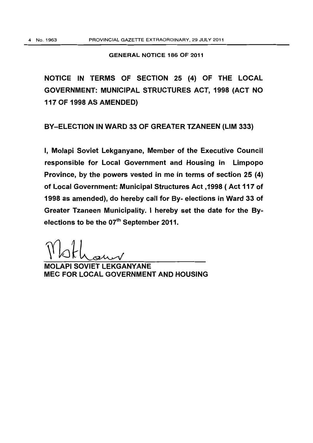# GENERAL NOTICE 186 OF 2011

NOTICE IN TERMS OF SECTION 25 (4) OF THE LOCAL GOVERNMENT: MUNICIPAL STRUCTURES ACT, 1998 (ACT NO 117 OF 1998 AS AMENDED)

BY-ELECTION IN WARD 33 OF GREATER TZANEEN (LIM 333)

I, Molapi Soviet Lekganyane, Member of the Executive Council responsible for Local Government and Housing in Limpopo Province, by the powers vested in me in terms of section 25 (4) of Local Government: Municipal Structures Act, 1998 ( Act 117 of 1998 as amended), do hereby call for By- elections in Ward 33 of Greater Tzaneen Municipality. I hereby set the date for the Byelections to be the 07<sup>th</sup> September 2011.

API SOVIET LEKGANYANE MEC FOR LOCAL GOVERNMENT AND HOUSING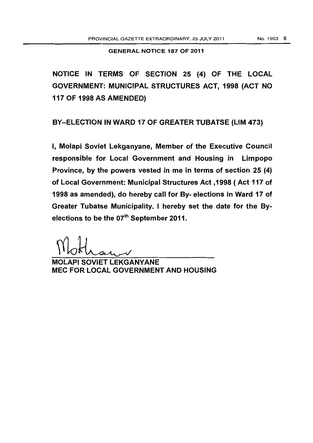GENERAL NOTICE 187 OF 2011

NOTICE IN TERMS OF SECTION 25 (4) OF THE LOCAL GOVERNMENT: MUNICIPAL STRUCTURES ACT, 1998 (ACT NO 117 OF 1998 AS AMENDED)

BY-ELECTION IN WARD 17 OF GREATER TUBATSE (LIM 473)

I, Molapi Soviet Lekganyane, Member of the Executive Council responsible for Local Government and Housing in Limpopo Province, by the powers vested in me in terms of section 25 (4) of Local Government: Municipal Structures Act ,1998 (Act 117 of 1998 as amended), do hereby call for By- elections in Ward 17 of Greater Tubatse Municipality. I hereby set the date for the 8yelections to be the 07<sup>th</sup> September 2011.

MOLAPI SOVIET LEKGANYANE MEC FOR LOCAL GOVERNMENT AND HOUSING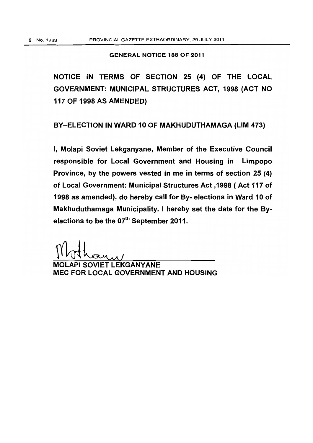# GENERAL NOTICE 188 OF 2011

NOTICE IN TERMS OF SECTION 25 (4) OF THE LOCAL GOVERNMENT: MUNICIPAL STRUCTURES ACT, 1998 (ACT NO 117 OF 1998 AS AMENDED)

BY-ELECTION IN WARD 10 OF MAKHUDUTHAMAGA (LIM 473)

I, Molapi Soviet Lekganyane, Member of the Executive Council responsible for Local Government and Housing in Limpopo Province, by the powers vested in me in terms of section 25 (4) of Local Government: Municipal Structures Act ,1998 (Act 117 of 1998 as amended), do hereby call for By- elections in Ward 10 of Makhuduthamaga Municipality. I hereby set the date for the Byelections to be the 07<sup>th</sup> September 2011.

Motham

MEC FOR LOCAL GOVERNMENT AND HOUSING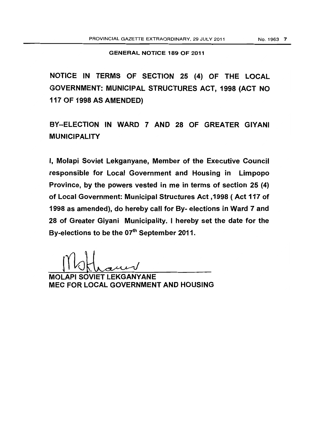# GENERAL NOTICE 189 OF 2011

NOTICE IN TERMS OF SECTION 25 (4) OF THE LOCAL GOVERNMENT: MUNICIPAL STRUCTURES ACT, 1998 (ACT NO 117 OF 1998 AS AMENDED)

BY-ELECTION IN WARD 7 AND 28 OF GREATER GIYANI MUNICIPALITY

I, Molapi Soviet Lekganyane, Member of the Executive Council responsible for Local Government and Housing in Limpopo Province, by the powers vested in me in terms of section 25 (4) of Local Government: Municipal Structures Act ,1998 (Act 117 of 1998 as amended), do hereby call for By- elections in Ward 7 and 28 of Greater Giyani Municipality. I hereby set the date for the By-elections to be the  $07<sup>th</sup>$  September 2011.

MOLAPI SOVIET LEKGANYANE MEC FOR LOCAL GOVERNMENT AND HOUSING